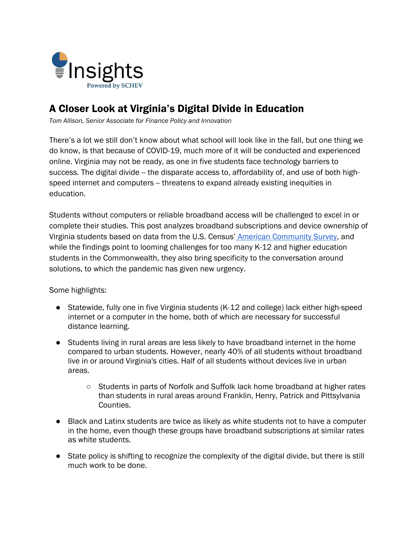

# A Closer Look at Virginia's Digital Divide in Education

*Tom Allison, Senior Associate for Finance Policy and Innovation*

There's a lot we still don't know about what school will look like in the fall, but one thing we do know, is that because of COVID-19, much more of it will be conducted and experienced online. Virginia may not be ready, as one in five students face technology barriers to success. The digital divide -- the disparate access to, affordability of, and use of both highspeed internet and computers -- threatens to expand already existing inequities in education.

Students without computers or reliable broadband access will be challenged to excel in or complete their studies. This post analyzes broadband subscriptions and device ownership of Virginia students based on data from the U.S. Census' [American Community Survey,](https://www.census.gov/programs-surveys/acs) and while the findings point to looming challenges for too many K-12 and higher education students in the Commonwealth, they also bring specificity to the conversation around solutions, to which the pandemic has given new urgency.

Some highlights:

- Statewide, fully one in five Virginia students (K-12 and college) lack either high-speed internet or a computer in the home, both of which are necessary for successful distance learning.
- Students living in rural areas are less likely to have broadband internet in the home compared to urban students. However, nearly 40% of all students without broadband live in or around Virginia's cities. Half of all students without devices live in urban areas.
	- Students in parts of Norfolk and Suffolk lack home broadband at higher rates than students in rural areas around Franklin, Henry, Patrick and Pittsylvania Counties.
- Black and Latinx students are twice as likely as white students not to have a computer in the home, even though these groups have broadband subscriptions at similar rates as white students.
- State policy is shifting to recognize the complexity of the digital divide, but there is still much work to be done.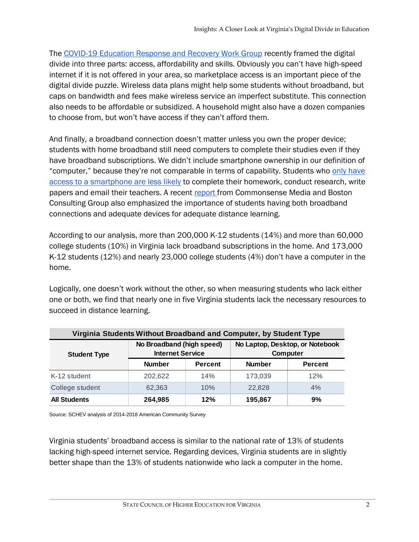The [COVID-19 Education Response and Recovery Work Group](https://www.governor.virginia.gov/newsroom/all-releases/2020/may/headline-856846-en.html) recently framed the digital divide into three parts: access, affordability and skills. Obviously you can't have high-speed internet if it is not offered in your area, so marketplace access is an important piece of the digital divide puzzle. Wireless data plans might help some students without broadband, but caps on bandwidth and fees make wireless service an imperfect substitute. This connection also needs to be affordable or subsidized. A household might also have a dozen companies to choose from, but won't have access if they can't afford them.

And finally, a broadband connection doesn't matter unless you own the proper device; students with home broadband still need computers to complete their studies even if they have broadband subscriptions. We didn't include smartphone ownership in our definition of "computer," because they're not comparable in terms of capability. Students who [only have](https://equityinlearning.act.org/wp-content/themes/voltron/img/tech-briefs/the-digital-divide.pdf#page=10)  [access to a smartphone are less likely](https://equityinlearning.act.org/wp-content/themes/voltron/img/tech-briefs/the-digital-divide.pdf#page=10) to complete their homework, conduct research, write papers and email their teachers. A recent [report f](https://www.commonsensemedia.org/sites/default/files/uploads/pdfs/common_sense_media_report_final_7_1_3pm_web.pdf)rom Commonsense Media and Boston Consulting Group also emphasized the importance of students having both broadband connections and adequate devices for adequate distance learning.

According to our analysis, more than 200,000 K-12 students (14%) and more than 60,000 college students (10%) in Virginia lack broadband subscriptions in the home. And 173,000 K-12 students (12%) and nearly 23,000 college students (4%) don't have a computer in the home.

Logically, one doesn't work without the other, so when measuring students who lack either one or both, we find that nearly one in five Virginia students lack the necessary resources to succeed in distance learning.

| Virginia Students Without Broadband and Computer, by Student Type |                                                      |                |                                             |                |  |  |
|-------------------------------------------------------------------|------------------------------------------------------|----------------|---------------------------------------------|----------------|--|--|
| <b>Student Type</b>                                               | No Broadband (high speed)<br><b>Internet Service</b> |                | No Laptop, Desktop, or Notebook<br>Computer |                |  |  |
|                                                                   | <b>Number</b>                                        | <b>Percent</b> | <b>Number</b>                               | <b>Percent</b> |  |  |
| K-12 student                                                      | 202.622                                              | 14%            | 173,039                                     | 12%            |  |  |
| College student                                                   | 62.363                                               | 10%            | 22,828                                      | 4%             |  |  |
| <b>All Students</b>                                               | 264,985                                              | 12%            | 195,867                                     | 9%             |  |  |

Source: SCHEV analysis of 2014-2018 American Community Survey

Virginia students' broadband access is similar to the national rate of 13% of students lacking high-speed internet service. Regarding devices, Virginia students are in slightly better shape than the 13% of students nationwide who lack a computer in the home.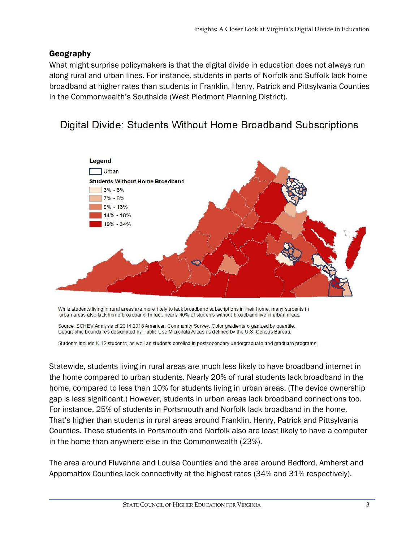# Geography

What might surprise policymakers is that the digital divide in education does not always run along rural and urban lines. For instance, students in parts of Norfolk and Suffolk lack home broadband at higher rates than students in Franklin, Henry, Patrick and Pittsylvania Counties in the Commonwealth's Southside (West Piedmont Planning District).

# Digital Divide: Students Without Home Broadband Subscriptions



While students living in rural areas are more likely to lack broadband subscriptions in their home, many students in urban areas also lack home broadband. In fact, nearly 40% of students without broadband live in urban areas.

Source: SCHEV Analysis of 2014-2018 American Community Survey. Color gradients organized by quantile. Geographic boundaries designated by Public Use Microdata Areas as defined by the U.S. Census Bureau.

Students include K-12 students, as well as students enrolled in postsecondary undergraduate and graduate programs.

Statewide, students living in rural areas are much less likely to have broadband internet in the home compared to urban students. Nearly 20% of rural students lack broadband in the home, compared to less than 10% for students living in urban areas. (The device ownership gap is less significant.) However, students in urban areas lack broadband connections too. For instance, 25% of students in Portsmouth and Norfolk lack broadband in the home. That's higher than students in rural areas around Franklin, Henry, Patrick and Pittsylvania Counties. These students in Portsmouth and Norfolk also are least likely to have a computer in the home than anywhere else in the Commonwealth (23%).

The area around Fluvanna and Louisa Counties and the area around Bedford, Amherst and Appomattox Counties lack connectivity at the highest rates (34% and 31% respectively).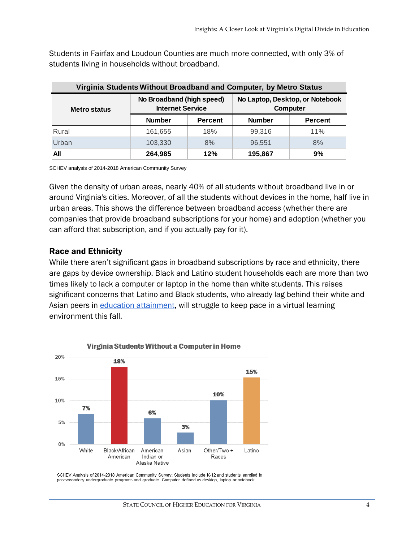Students in Fairfax and Loudoun Counties are much more connected, with only 3% of students living in households without broadband.

| Virginia Students Without Broadband and Computer, by Metro Status |                                                      |                |                                             |                |  |  |
|-------------------------------------------------------------------|------------------------------------------------------|----------------|---------------------------------------------|----------------|--|--|
| <b>Metro status</b>                                               | No Broadband (high speed)<br><b>Internet Service</b> |                | No Laptop, Desktop, or Notebook<br>Computer |                |  |  |
|                                                                   | <b>Number</b>                                        | <b>Percent</b> | <b>Number</b>                               | <b>Percent</b> |  |  |
| Rural                                                             | 161.655                                              | 18%            | 99.316                                      | 11%            |  |  |
| Urban                                                             | 103.330                                              | 8%             | 96.551                                      | 8%             |  |  |
| All                                                               | 264,985                                              | 12%            | 195,867                                     | 9%             |  |  |

SCHEV analysis of 2014-2018 American Community Survey

Given the density of urban areas, nearly 40% of all students without broadband live in or around Virginia's cities. Moreover, of all the students without devices in the home, half live in urban areas. This shows the difference between broadband *access* (whether there are companies that provide broadband subscriptions for your home) and adoption (whether you can afford that subscription, and if you actually pay for it).

#### Race and Ethnicity

While there aren't significant gaps in broadband subscriptions by race and ethnicity, there are gaps by device ownership. Black and Latino student households each are more than two times likely to lack a computer or laptop in the home than white students. This raises significant concerns that Latino and Black students, who already lag behind their white and Asian peers in [education attainment,](https://www.luminafoundation.org/stronger-nation/report/2020/#state/VA) will struggle to keep pace in a virtual learning environment this fall.



Virginia Students Without a Computer in Home

SCHEV Analysis of 2014-2018 American Community Survey; Students include K-12 and students enrolled in postsecondary undergraduate programs and graduate. Computer defined as desktop, laptop or notebook.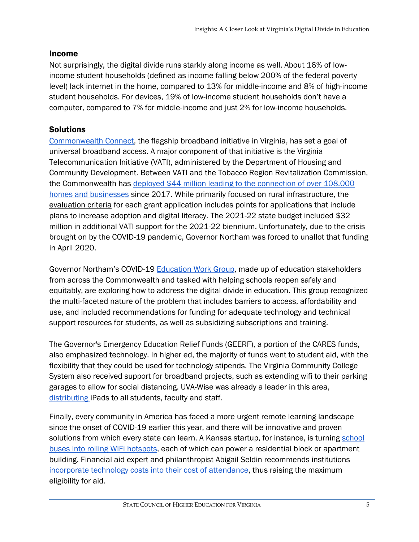### Income

Not surprisingly, the digital divide runs starkly along income as well. About 16% of lowincome student households (defined as income falling below 200% of the federal poverty level) lack internet in the home, compared to 13% for middle-income and 8% of high-income student households. For devices, 19% of low-income student households don't have a computer, compared to 7% for middle-income and just 2% for low-income households.

# **Solutions**

[Commonwealth Connect,](http://commonwealthconnect.io/) the flagship broadband initiative in Virginia, has set a goal of universal broadband access. A major component of that initiative is the Virginia Telecommunication Initiative (VATI), administered by the Department of Housing and Community Development. Between VATI and the Tobacco Region Revitalization Commission, the Commonwealth has [deployed \\$44 million leading to the connection of over 108,000](https://commonwealthconnect.virginiainteractive.org/sites/default/files/CIT%20Documents/Commonwealth%20Connect%20Report.pdf)  [homes and businesses](https://commonwealthconnect.virginiainteractive.org/sites/default/files/CIT%20Documents/Commonwealth%20Connect%20Report.pdf) since 2017. While primarily focused on rural infrastructure, the [evaluation criteria](https://www.dhcd.virginia.gov/sites/default/files/Docx/vati/2021-vati-guidelines-and-criteria.pdf) for each grant application includes points for applications that include plans to increase adoption and digital literacy. The 2021-22 state budget included \$32 million in additional VATI support for the 2021-22 biennium. Unfortunately, due to the crisis brought on by the COVID-19 pandemic, Governor Northam was forced to unallot that funding in April 2020.

Governor Northam's COVID-19 [Education Work Group,](https://www.governor.virginia.gov/newsroom/all-releases/2020/may/headline-856846-en.html) made up of education stakeholders from across the Commonwealth and tasked with helping schools reopen safely and equitably, are exploring how to address the digital divide in education. This group recognized the multi-faceted nature of the problem that includes barriers to access, affordability and use, and included recommendations for funding for adequate technology and technical support resources for students, as well as subsidizing subscriptions and training.

The Governor's Emergency Education Relief Funds (GEERF), a portion of the CARES funds, also emphasized technology. In higher ed, the majority of funds went to student aid, with the flexibility that they could be used for technology stipends. The Virginia Community College System also received support for broadband projects, such as extending wifi to their parking garages to allow for social distancing. UVA-Wise was already a leader in this area, [distributing i](https://www.uvawise.edu/2019/07/11/uva-wise-provide-ipads-full-time-students-faculty-staff/)Pads to all students, faculty and staff.

Finally, every community in America has faced a more urgent remote learning landscape since the onset of COVID-19 earlier this year, and there will be innovative and proven solutions from which every state can learn. A Kansas startup, for instance, is turning [school](https://www.startlandnews.com/2020/03/transportant-wifi-covid-19/)  [buses into rolling WiFi hotspots,](https://www.startlandnews.com/2020/03/transportant-wifi-covid-19/) each of which can power a residential block or apartment building. Financial aid expert and philanthropist Abigail Seldin recommends institutions [incorporate technology costs into their cost of attendance,](https://www.newamerica.org/education-policy/edcentral/how-every-college-student-america-can-get-laptop-and-hotspot/) thus raising the maximum eligibility for aid.